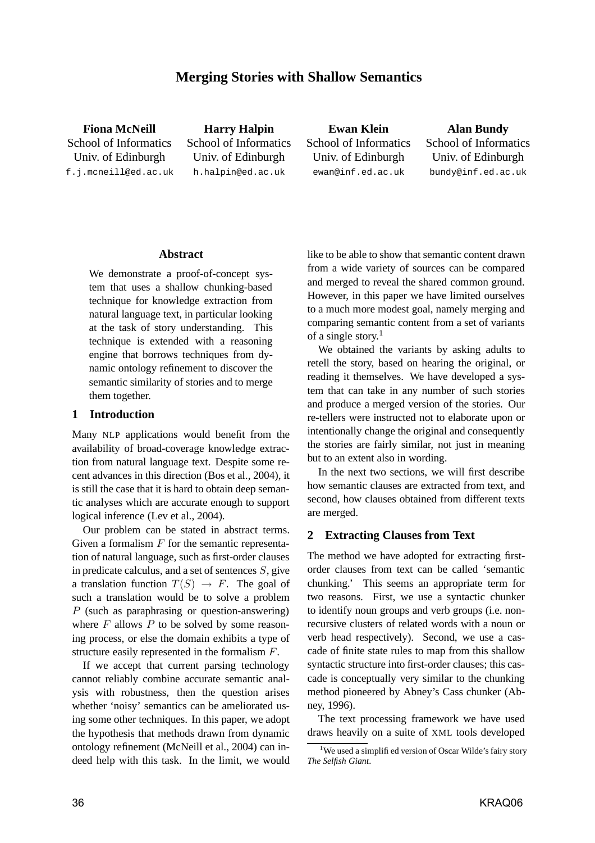# **Merging Stories with Shallow Semantics**

**Fiona McNeill** School of Informatics Univ. of Edinburgh f.j.mcneill@ed.ac.uk

**Harry Halpin** School of Informatics Univ. of Edinburgh h.halpin@ed.ac.uk

**Ewan Klein** School of Informatics Univ. of Edinburgh ewan@inf.ed.ac.uk

**Alan Bundy** School of Informatics Univ. of Edinburgh bundy@inf.ed.ac.uk

#### **Abstract**

We demonstrate a proof-of-concept system that uses a shallow chunking-based technique for knowledge extraction from natural language text, in particular looking at the task of story understanding. This technique is extended with a reasoning engine that borrows techniques from dynamic ontology refinement to discover the semantic similarity of stories and to merge them together.

#### **1 Introduction**

Many NLP applications would benefit from the availability of broad-coverage knowledge extraction from natural language text. Despite some recent advances in this direction (Bos et al., 2004), it is still the case that it is hard to obtain deep semantic analyses which are accurate enough to support logical inference (Lev et al., 2004).

Our problem can be stated in abstract terms. Given a formalism  $F$  for the semantic representation of natural language, such as first-order clauses in predicate calculus, and a set of sentences  $S$ , give a translation function  $T(S) \rightarrow F$ . The goal of such a translation would be to solve a problem P (such as paraphrasing or question-answering) where  $F$  allows  $P$  to be solved by some reasoning process, or else the domain exhibits a type of structure easily represented in the formalism F.

If we accept that current parsing technology cannot reliably combine accurate semantic analysis with robustness, then the question arises whether 'noisy' semantics can be ameliorated using some other techniques. In this paper, we adopt the hypothesis that methods drawn from dynamic ontology refinement (McNeill et al., 2004) can indeed help with this task. In the limit, we would like to be able to show that semantic content drawn from a wide variety of sources can be compared and merged to reveal the shared common ground. However, in this paper we have limited ourselves to a much more modest goal, namely merging and comparing semantic content from a set of variants of a single story. 1

We obtained the variants by asking adults to retell the story, based on hearing the original, or reading it themselves. We have developed a system that can take in any number of such stories and produce a merged version of the stories. Our re-tellers were instructed not to elaborate upon or intentionally change the original and consequently the stories are fairly similar, not just in meaning but to an extent also in wording.

In the next two sections, we will first describe how semantic clauses are extracted from text, and second, how clauses obtained from different texts are merged.

### **2 Extracting Clauses from Text**

The method we have adopted for extracting firstorder clauses from text can be called 'semantic chunking.' This seems an appropriate term for two reasons. First, we use a syntactic chunker to identify noun groups and verb groups (i.e. nonrecursive clusters of related words with a noun or verb head respectively). Second, we use a cascade of finite state rules to map from this shallow syntactic structure into first-order clauses; this cascade is conceptually very similar to the chunking method pioneered by Abney's Cass chunker (Abney, 1996).

The text processing framework we have used draws heavily on a suite of XML tools developed

<sup>&</sup>lt;sup>1</sup>We used a simplified version of Oscar Wilde's fairy story *The Selfish Giant*.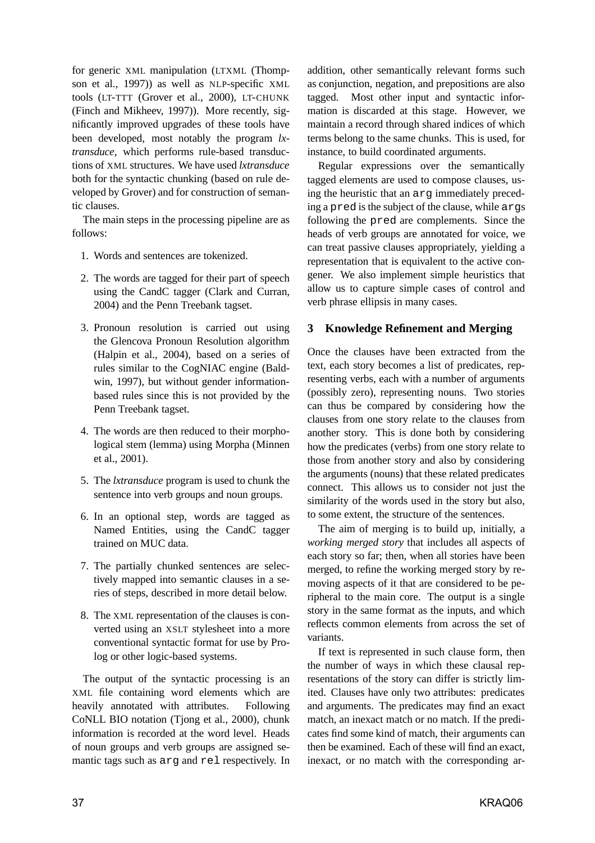for generic XML manipulation (LTXML (Thompson et al., 1997)) as well as NLP-specific XML tools (LT-TTT (Grover et al., 2000), LT-CHUNK (Finch and Mikheev, 1997)). More recently, significantly improved upgrades of these tools have been developed, most notably the program *lxtransduce*, which performs rule-based transductions of XML structures. We have used *lxtransduce* both for the syntactic chunking (based on rule developed by Grover) and for construction of semantic clauses.

The main steps in the processing pipeline are as follows:

- 1. Words and sentences are tokenized.
- 2. The words are tagged for their part of speech using the CandC tagger (Clark and Curran, 2004) and the Penn Treebank tagset.
- 3. Pronoun resolution is carried out using the Glencova Pronoun Resolution algorithm (Halpin et al., 2004), based on a series of rules similar to the CogNIAC engine (Baldwin, 1997), but without gender informationbased rules since this is not provided by the Penn Treebank tagset.
- 4. The words are then reduced to their morphological stem (lemma) using Morpha (Minnen et al., 2001).
- 5. The *lxtransduce* program is used to chunk the sentence into verb groups and noun groups.
- 6. In an optional step, words are tagged as Named Entities, using the CandC tagger trained on MUC data.
- 7. The partially chunked sentences are selectively mapped into semantic clauses in a series of steps, described in more detail below.
- 8. The XML representation of the clauses is converted using an XSLT stylesheet into a more conventional syntactic format for use by Prolog or other logic-based systems.

The output of the syntactic processing is an XML file containing word elements which are heavily annotated with attributes. Following CoNLL BIO notation (Tjong et al., 2000), chunk information is recorded at the word level. Heads of noun groups and verb groups are assigned semantic tags such as arg and rel respectively. In addition, other semantically relevant forms such as conjunction, negation, and prepositions are also tagged. Most other input and syntactic information is discarded at this stage. However, we maintain a record through shared indices of which terms belong to the same chunks. This is used, for instance, to build coordinated arguments.

Regular expressions over the semantically tagged elements are used to compose clauses, using the heuristic that an arg immediately preceding a pred is the subject of the clause, while args following the pred are complements. Since the heads of verb groups are annotated for voice, we can treat passive clauses appropriately, yielding a representation that is equivalent to the active congener. We also implement simple heuristics that allow us to capture simple cases of control and verb phrase ellipsis in many cases.

## **3 Knowledge Refinement and Merging**

Once the clauses have been extracted from the text, each story becomes a list of predicates, representing verbs, each with a number of arguments (possibly zero), representing nouns. Two stories can thus be compared by considering how the clauses from one story relate to the clauses from another story. This is done both by considering how the predicates (verbs) from one story relate to those from another story and also by considering the arguments (nouns) that these related predicates connect. This allows us to consider not just the similarity of the words used in the story but also, to some extent, the structure of the sentences.

The aim of merging is to build up, initially, a *working merged story* that includes all aspects of each story so far; then, when all stories have been merged, to refine the working merged story by removing aspects of it that are considered to be peripheral to the main core. The output is a single story in the same format as the inputs, and which reflects common elements from across the set of variants.

If text is represented in such clause form, then the number of ways in which these clausal representations of the story can differ is strictly limited. Clauses have only two attributes: predicates and arguments. The predicates may find an exact match, an inexact match or no match. If the predicates find some kind of match, their arguments can then be examined. Each of these will find an exact, inexact, or no match with the corresponding ar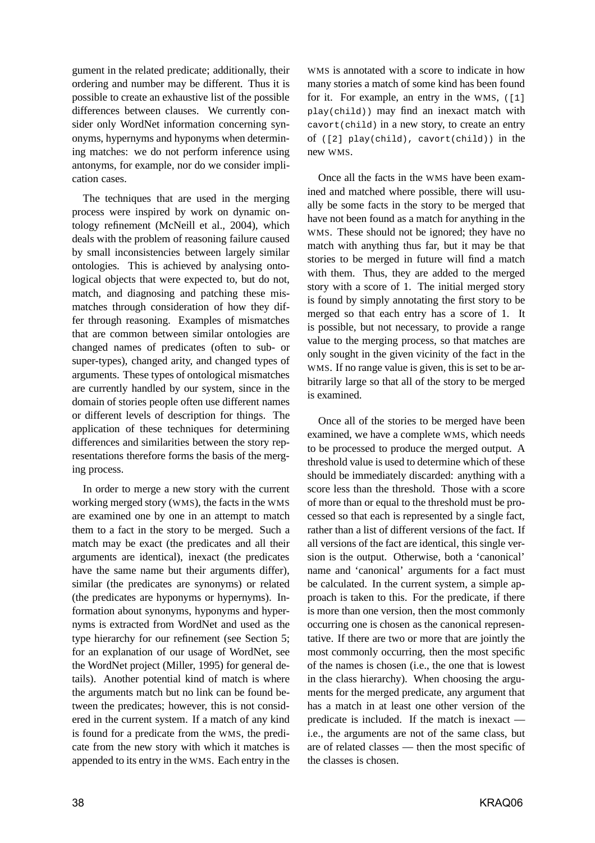gument in the related predicate; additionally, their ordering and number may be different. Thus it is possible to create an exhaustive list of the possible differences between clauses. We currently consider only WordNet information concerning synonyms, hypernyms and hyponyms when determining matches: we do not perform inference using antonyms, for example, nor do we consider implication cases.

The techniques that are used in the merging process were inspired by work on dynamic ontology refinement (McNeill et al., 2004), which deals with the problem of reasoning failure caused by small inconsistencies between largely similar ontologies. This is achieved by analysing ontological objects that were expected to, but do not, match, and diagnosing and patching these mismatches through consideration of how they differ through reasoning. Examples of mismatches that are common between similar ontologies are changed names of predicates (often to sub- or super-types), changed arity, and changed types of arguments. These types of ontological mismatches are currently handled by our system, since in the domain of stories people often use different names or different levels of description for things. The application of these techniques for determining differences and similarities between the story representations therefore forms the basis of the merging process.

In order to merge a new story with the current working merged story (WMS), the facts in the WMS are examined one by one in an attempt to match them to a fact in the story to be merged. Such a match may be exact (the predicates and all their arguments are identical), inexact (the predicates have the same name but their arguments differ), similar (the predicates are synonyms) or related (the predicates are hyponyms or hypernyms). Information about synonyms, hyponyms and hypernyms is extracted from WordNet and used as the type hierarchy for our refinement (see Section 5; for an explanation of our usage of WordNet, see the WordNet project (Miller, 1995) for general details). Another potential kind of match is where the arguments match but no link can be found between the predicates; however, this is not considered in the current system. If a match of any kind is found for a predicate from the WMS, the predicate from the new story with which it matches is appended to its entry in the WMS. Each entry in the

WMS is annotated with a score to indicate in how many stories a match of some kind has been found for it. For example, an entry in the WMS, ([1] play(child)) may find an inexact match with cavort(child) in a new story, to create an entry of  $([2]$  play(child), cavort(child)) in the new WMS.

Once all the facts in the WMS have been examined and matched where possible, there will usually be some facts in the story to be merged that have not been found as a match for anything in the WMS. These should not be ignored; they have no match with anything thus far, but it may be that stories to be merged in future will find a match with them. Thus, they are added to the merged story with a score of 1. The initial merged story is found by simply annotating the first story to be merged so that each entry has a score of 1. It is possible, but not necessary, to provide a range value to the merging process, so that matches are only sought in the given vicinity of the fact in the WMS. If no range value is given, this is set to be arbitrarily large so that all of the story to be merged is examined.

Once all of the stories to be merged have been examined, we have a complete WMS, which needs to be processed to produce the merged output. A threshold value is used to determine which of these should be immediately discarded: anything with a score less than the threshold. Those with a score of more than or equal to the threshold must be processed so that each is represented by a single fact, rather than a list of different versions of the fact. If all versions of the fact are identical, this single version is the output. Otherwise, both a 'canonical' name and 'canonical' arguments for a fact must be calculated. In the current system, a simple approach is taken to this. For the predicate, if there is more than one version, then the most commonly occurring one is chosen as the canonical representative. If there are two or more that are jointly the most commonly occurring, then the most specific of the names is chosen (i.e., the one that is lowest in the class hierarchy). When choosing the arguments for the merged predicate, any argument that has a match in at least one other version of the predicate is included. If the match is inexact i.e., the arguments are not of the same class, but are of related classes — then the most specific of the classes is chosen.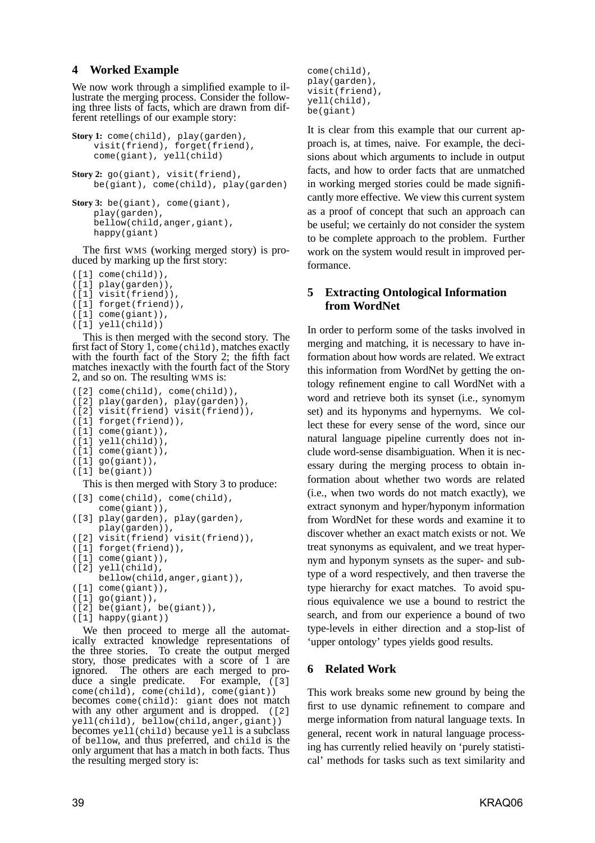#### **4 Worked Example**

We now work through a simplified example to illustrate the merging process. Consider the following three lists of facts, which are drawn from different retellings of our example story:

```
Story 1: come(child), play(garden),
    visit(friend), forget(friend),
    come(giant), yell(child)
Story 2: go(giant), visit(friend),
    be(giant), come(child), play(garden)
```

```
Story 3: be(giant), come(giant),
    play(garden),
    bellow(child,anger,giant),
    happy(giant)
```
The first WMS (working merged story) is produced by marking up the first story:

```
([1] come(child)),
([1] play(garden)),
([1] visit(friend)),
([1] forget(friend)),
([1] come(giant)),
([1] yell(child))
```
This is then merged with the second story. The first fact of Story 1, come(child), matches exactly with the fourth fact of the Story 2; the fifth fact matches inexactly with the fourth fact of the Story 2, and so on. The resulting WMS is:

```
([2] come(child), come(child)),
([2] play(garden), play(garden)),
([2] visit(friend) visit(friend)),
([1] forget(friend)),
([1] come(giant)),
([1] yell(child)),
([1] come(giant)),
([1] go(giant)),
([1] be(giant))
```
This is then merged with Story 3 to produce:

```
([3] come(child), come(child),
    come(giant)),
([3] play(garden), play(garden),
     play(garden)),
([2] visit(friend) visit(friend)),
([1] forget(friend)),
([1] come(giant)),
([2] yell(child),
     bellow(child,anger,giant)),
([1] come(giant)),
([1] go(giant)),
([2] be(giant), be(giant)),
([1] happy(giant))
```
We then proceed to merge all the automatically extracted knowledge representations of the three stories. To create the output merged To create the output merged story, those predicates with a score of 1 are ignored. The others are each merged to produce a single predicate. For example, ([3] come(child), come(child), come(giant)) becomes come(child): giant does not match with any other argument and is dropped.  $(12)$ yell(child), bellow(child,anger,giant)) becomes yell(child) because yell is a subclass of bellow, and thus preferred, and child is the only argument that has a match in both facts. Thus the resulting merged story is:

come(child), play(garden), visit(friend), yell(child), be(giant)

It is clear from this example that our current approach is, at times, naive. For example, the decisions about which arguments to include in output facts, and how to order facts that are unmatched in working merged stories could be made significantly more effective. We view this current system as a proof of concept that such an approach can be useful; we certainly do not consider the system to be complete approach to the problem. Further work on the system would result in improved performance.

### **5 Extracting Ontological Information from WordNet**

In order to perform some of the tasks involved in merging and matching, it is necessary to have information about how words are related. We extract this information from WordNet by getting the ontology refinement engine to call WordNet with a word and retrieve both its synset (i.e., synomym set) and its hyponyms and hypernyms. We collect these for every sense of the word, since our natural language pipeline currently does not include word-sense disambiguation. When it is necessary during the merging process to obtain information about whether two words are related (i.e., when two words do not match exactly), we extract synonym and hyper/hyponym information from WordNet for these words and examine it to discover whether an exact match exists or not. We treat synonyms as equivalent, and we treat hypernym and hyponym synsets as the super- and subtype of a word respectively, and then traverse the type hierarchy for exact matches. To avoid spurious equivalence we use a bound to restrict the search, and from our experience a bound of two type-levels in either direction and a stop-list of 'upper ontology' types yields good results.

### **6 Related Work**

This work breaks some new ground by being the first to use dynamic refinement to compare and merge information from natural language texts. In general, recent work in natural language processing has currently relied heavily on 'purely statistical' methods for tasks such as text similarity and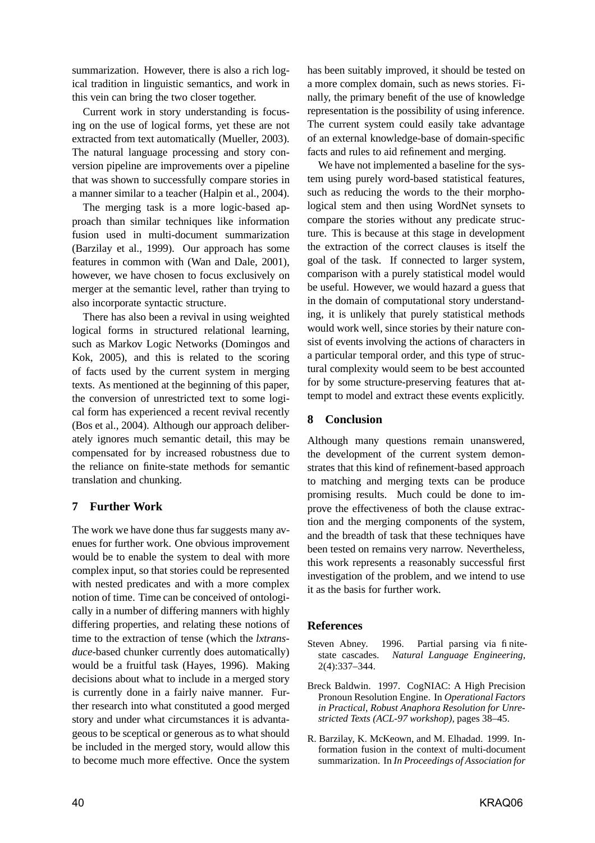summarization. However, there is also a rich logical tradition in linguistic semantics, and work in this vein can bring the two closer together.

Current work in story understanding is focusing on the use of logical forms, yet these are not extracted from text automatically (Mueller, 2003). The natural language processing and story conversion pipeline are improvements over a pipeline that was shown to successfully compare stories in a manner similar to a teacher (Halpin et al., 2004).

The merging task is a more logic-based approach than similar techniques like information fusion used in multi-document summarization (Barzilay et al., 1999). Our approach has some features in common with (Wan and Dale, 2001), however, we have chosen to focus exclusively on merger at the semantic level, rather than trying to also incorporate syntactic structure.

There has also been a revival in using weighted logical forms in structured relational learning, such as Markov Logic Networks (Domingos and Kok, 2005), and this is related to the scoring of facts used by the current system in merging texts. As mentioned at the beginning of this paper, the conversion of unrestricted text to some logical form has experienced a recent revival recently (Bos et al., 2004). Although our approach deliberately ignores much semantic detail, this may be compensated for by increased robustness due to the reliance on finite-state methods for semantic translation and chunking.

# **7 Further Work**

The work we have done thus far suggests many avenues for further work. One obvious improvement would be to enable the system to deal with more complex input, so that stories could be represented with nested predicates and with a more complex notion of time. Time can be conceived of ontologically in a number of differing manners with highly differing properties, and relating these notions of time to the extraction of tense (which the *lxtransduce*-based chunker currently does automatically) would be a fruitful task (Hayes, 1996). Making decisions about what to include in a merged story is currently done in a fairly naive manner. Further research into what constituted a good merged story and under what circumstances it is advantageous to be sceptical or generous as to what should be included in the merged story, would allow this to become much more effective. Once the system

has been suitably improved, it should be tested on a more complex domain, such as news stories. Finally, the primary benefit of the use of knowledge representation is the possibility of using inference. The current system could easily take advantage of an external knowledge-base of domain-specific facts and rules to aid refinement and merging.

We have not implemented a baseline for the system using purely word-based statistical features, such as reducing the words to the their morphological stem and then using WordNet synsets to compare the stories without any predicate structure. This is because at this stage in development the extraction of the correct clauses is itself the goal of the task. If connected to larger system, comparison with a purely statistical model would be useful. However, we would hazard a guess that in the domain of computational story understanding, it is unlikely that purely statistical methods would work well, since stories by their nature consist of events involving the actions of characters in a particular temporal order, and this type of structural complexity would seem to be best accounted for by some structure-preserving features that attempt to model and extract these events explicitly.

## **8 Conclusion**

Although many questions remain unanswered, the development of the current system demonstrates that this kind of refinement-based approach to matching and merging texts can be produce promising results. Much could be done to improve the effectiveness of both the clause extraction and the merging components of the system, and the breadth of task that these techniques have been tested on remains very narrow. Nevertheless, this work represents a reasonably successful first investigation of the problem, and we intend to use it as the basis for further work.

### **References**

- Steven Abney. 1996. Partial parsing via finitestate cascades. *Natural Language Engineering*, 2(4):337–344.
- Breck Baldwin. 1997. CogNIAC: A High Precision Pronoun Resolution Engine. In *Operational Factors in Practical, Robust Anaphora Resolution for Unrestricted Texts (ACL-97 workshop)*, pages 38–45.
- R. Barzilay, K. McKeown, and M. Elhadad. 1999. Information fusion in the context of multi-document summarization. In *In Proceedings of Association for*